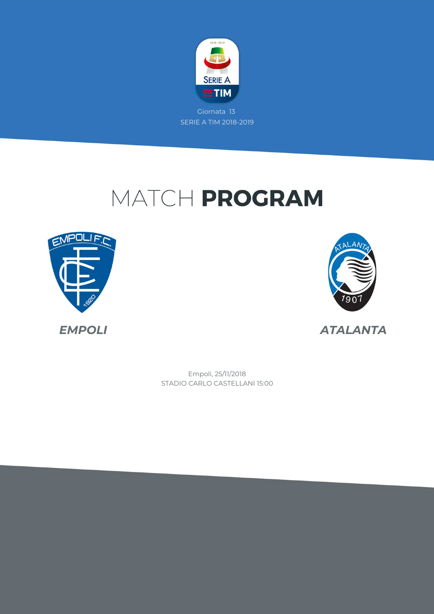

# MATCH PROGRAM





STADIO CARLO CASTELLANI 15:00 Empoli, 25/11/2018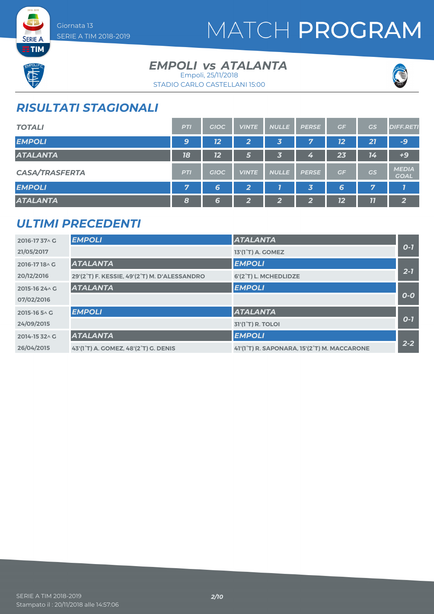

# MATCH PROGRAM



**SERIE A ETIM** 

### **EMPOLI** *vs* ATALANTA Empoli, 25/11/2018





## *RISULTATI STAGIONALI*

| <b>TOTALI</b>         | <b>PTI</b> | <b>GIOC</b> | <b>VINTE</b>   | <b>NULLE</b> | <b>PERSE</b>            | GF | <b>GS</b> | <b>DIFF.RETI</b>            |
|-----------------------|------------|-------------|----------------|--------------|-------------------------|----|-----------|-----------------------------|
| <b>EMPOLI</b>         | 9          | 12          | 2              | 3            | 7                       | 12 | 21        | -9                          |
| <b>ATALANTA</b>       | 18         | 12          | 5              | 3            | Z                       | 23 | 14        | $+9$                        |
| <b>CASA/TRASFERTA</b> | <b>PTI</b> | <b>GIOC</b> | <b>VINTE</b>   | <b>NULLE</b> | <b>PERSE</b>            | GF | <b>GS</b> | <b>MEDIA</b><br><b>GOAL</b> |
| <b>EMPOLI</b>         | 7          | 6           | $\overline{2}$ |              | $\overline{\mathbf{3}}$ | 6  | 7         |                             |
| <b>ATALANTA</b>       | 8          | 6           | $\overline{2}$ | 2            | ີ<br>∠                  | 12 | 77        | $\overline{2}$              |

### *ULTIMI PRECEDENTI*

| 2016-1737 \ G  | <b>EMPOLI</b>                                | <b>ATALANTA</b>                             |         |
|----------------|----------------------------------------------|---------------------------------------------|---------|
| 21/05/2017     |                                              | 13'(1 <sup>°</sup> T) A. GOMEZ              | $O-I$   |
| 2016-1718^C    | <b>ATALANTA</b>                              | <b>EMPOLI</b>                               |         |
| 20/12/2016     | 29'(2°T) F. KESSIE, 49'(2°T) M. D'ALESSANDRO | 6'(2°T) L. MCHEDLIDZE                       | $2 - 7$ |
| 2015-16 24 \ G | <b>ATALANTA</b>                              | <b>EMPOLI</b>                               |         |
| 07/02/2016     |                                              |                                             | $O-O$   |
| 2015-16 5 \ G  | <b>EMPOLI</b>                                | <b>ATALANTA</b>                             |         |
| 24/09/2015     |                                              | <b>31'(1<sup>°</sup>T) R. TOLOI</b>         | $O-I$   |
| 2014-15 32 \ G | <b>ATALANTA</b>                              | <b>EMPOLI</b>                               |         |
| 26/04/2015     | 43'(1°T) A. GOMEZ, 48'(2°T) G. DENIS         | 41'(1°T) R. SAPONARA, 15'(2°T) M. MACCARONE | $2 - 2$ |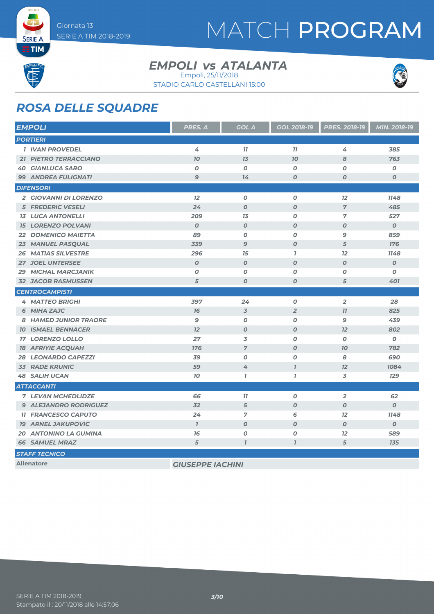# MATCH PROGRAM

**SERIE A ETIM** 

#### **EMPOLI** *vs* ATALANTA Empoli, 25/11/2018

STADIO CARLO CASTELLANI 15:00



### *ROSA DELLE SQUADRE*

| <b>EMPOLI</b>                | <b>PRES. A</b>          | <b>GOL A</b>     | <b>GOL 2018-19</b> | PRES. 2018-19    | MIN. 2018-19     |
|------------------------------|-------------------------|------------------|--------------------|------------------|------------------|
| <b>PORTIERI</b>              |                         |                  |                    |                  |                  |
| <b>1 IVAN PROVEDEL</b>       | 4                       | 77               | 77                 | 4                | 385              |
| 21 PIETRO TERRACCIANO        | 70                      | 13               | 70                 | 8                | 763              |
| <b>40 GIANLUCA SARO</b>      | 0                       | 0                | $\boldsymbol{o}$   | O                | Ο                |
| <b>99 ANDREA FULIGNATI</b>   | $\mathbf{9}$            | 14               | $\boldsymbol{0}$   | $\boldsymbol{O}$ | 0                |
| <b>DIFENSORI</b>             |                         |                  |                    |                  |                  |
| 2 GIOVANNI DI LORENZO        | 12                      | $\boldsymbol{O}$ | $\boldsymbol{O}$   | 12               | 1148             |
| <b>5 FREDERIC VESELI</b>     | 24                      | $\boldsymbol{O}$ | $\boldsymbol{O}$   | $\overline{7}$   | 485              |
| <b>13 LUCA ANTONELLI</b>     | 209                     | 13               | $\boldsymbol{O}$   | $\overline{7}$   | 527              |
| <b>15 LORENZO POLVANI</b>    | $\boldsymbol{O}$        | $\boldsymbol{O}$ | $\boldsymbol{O}$   | $\boldsymbol{O}$ | $\boldsymbol{o}$ |
| 22 DOMENICO MAIETTA          | 89                      | $\boldsymbol{0}$ | $\boldsymbol{O}$   | 9                | 859              |
| 23 MANUEL PASQUAL            | 339                     | $\mathbf{9}$     | $\boldsymbol{O}$   | 5                | <b>176</b>       |
| <b>26 MATIAS SILVESTRE</b>   | 296                     | 15               | $\overline{1}$     | 12               | 1148             |
| <b>27 JOEL UNTERSEE</b>      | $\boldsymbol{O}$        | $\boldsymbol{O}$ | $\boldsymbol{O}$   | $\boldsymbol{O}$ | $\boldsymbol{o}$ |
| <b>29 MICHAL MARCJANIK</b>   | $\boldsymbol{O}$        | 0                | $\boldsymbol{O}$   | $\boldsymbol{O}$ | O                |
| <b>32 JACOB RASMUSSEN</b>    | 5                       | $\boldsymbol{0}$ | $\boldsymbol{O}$   | 5                | 401              |
| <b>CENTROCAMPISTI</b>        |                         |                  |                    |                  |                  |
| <b>4 MATTEO BRIGHI</b>       | 397                     | 24               | $\boldsymbol{o}$   | $\overline{2}$   | 28               |
| 6 MIHA ZAJC                  | 76                      | $\overline{3}$   | $\overline{2}$     | 11               | 825              |
| <b>8 HAMED JUNIOR TRAORE</b> | $\mathbf{9}$            | $\boldsymbol{O}$ | $\boldsymbol{O}$   | 9                | 439              |
| <b>10 ISMAEL BENNACER</b>    | 12                      | $\boldsymbol{O}$ | $\boldsymbol{O}$   | 12               | 802              |
| <b>17 LORENZO LOLLO</b>      | 27                      | 3                | $\boldsymbol{O}$   | O                | 0                |
| <b>18 AFRIYIE ACQUAH</b>     | 176                     | $\overline{7}$   | $\boldsymbol{O}$   | 70               | 782              |
| <b>28 LEONARDO CAPEZZI</b>   | 39                      | 0                | $\boldsymbol{O}$   | 8                | 690              |
| <b>33 RADE KRUNIC</b>        | 59                      | 4                | $\overline{I}$     | 12               | 1084             |
| <b>48 SALIH UCAN</b>         | 70                      | $\overline{1}$   | $\overline{I}$     | 3                | <b>129</b>       |
| <b>ATTACCANTI</b>            |                         |                  |                    |                  |                  |
| <b>7 LEVAN MCHEDLIDZE</b>    | 66                      | 77               | $\boldsymbol{o}$   | $\overline{2}$   | 62               |
| <b>9 ALEJANDRO RODRIGUEZ</b> | 32                      | 5                | $\boldsymbol{O}$   | $\boldsymbol{O}$ | $\boldsymbol{O}$ |
| <b>11 FRANCESCO CAPUTO</b>   | 24                      | $\overline{7}$   | 6                  | 12               | 1148             |
| <b>19 ARNEL JAKUPOVIC</b>    | $\mathbf{I}$            | $\boldsymbol{O}$ | $\boldsymbol{0}$   | $\boldsymbol{O}$ | $\boldsymbol{O}$ |
| <b>20 ANTONINO LA GUMINA</b> | 76                      | $\boldsymbol{o}$ | $\pmb{o}$          | 12               | 589              |
| <b>66 SAMUEL MRAZ</b>        | 5                       | $\overline{1}$   | $\overline{1}$     | 5                | 135              |
| <b>STAFF TECNICO</b>         |                         |                  |                    |                  |                  |
| <b>Allenatore</b>            | <b>GIUSEPPE IACHINI</b> |                  |                    |                  |                  |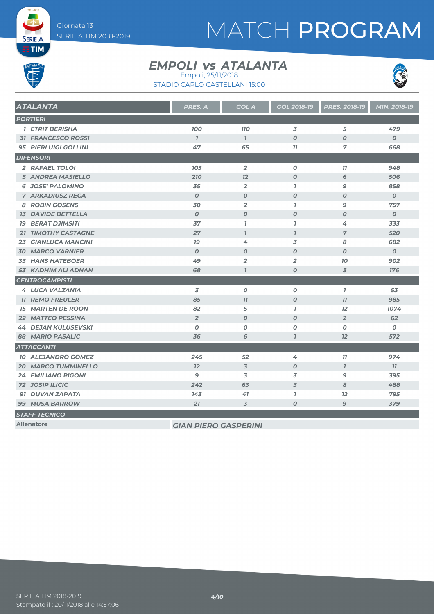# MATCH PROGRAM

**SERIE A EETIM** 

#### **EMPOLI** *vs* ATALANTA Empoli, 25/11/2018

STADIO CARLO CASTELLANI 15:00



| <b>ATALANTA</b>             | <b>PRES. A</b>              | <b>GOL A</b>     | <b>GOL 2018-19</b> | PRES. 2018-19    | MIN. 2018-19     |
|-----------------------------|-----------------------------|------------------|--------------------|------------------|------------------|
| <b>PORTIERI</b>             |                             |                  |                    |                  |                  |
| <b>1 ETRIT BERISHA</b>      | <b>100</b>                  | <b>110</b>       | 3                  | 5                | 479              |
| <b>31 FRANCESCO ROSSI</b>   | $\mathbf{7}$                | $\mathcal{I}$    | $\boldsymbol{O}$   | $\boldsymbol{O}$ | $\boldsymbol{O}$ |
| <b>95 PIERLUIGI GOLLINI</b> | 47                          | 65               | 77                 | $\overline{7}$   | 668              |
| <b>DIFENSORI</b>            |                             |                  |                    |                  |                  |
| 2 RAFAEL TOLOI              | 103                         | $\overline{2}$   | $\boldsymbol{o}$   | 77               | 948              |
| <b>5 ANDREA MASIELLO</b>    | 210                         | 12               | $\boldsymbol{O}$   | 6                | 506              |
| <b>6 JOSE' PALOMINO</b>     | 35                          | $\overline{2}$   | $\mathbf{I}$       | 9                | 858              |
| <b>7 ARKADIUSZ RECA</b>     | $\boldsymbol{0}$            | $\boldsymbol{0}$ | $\boldsymbol{O}$   | $\boldsymbol{0}$ | $\boldsymbol{0}$ |
| <b>8 ROBIN GOSENS</b>       | 30                          | $\overline{2}$   | $\mathbf{I}$       | $\mathbf{9}$     | 757              |
| <b>13 DAVIDE BETTELLA</b>   | $\boldsymbol{O}$            | $\boldsymbol{O}$ | $\boldsymbol{O}$   | $\boldsymbol{0}$ | $\boldsymbol{0}$ |
| <b>19 BERAT DJIMSITI</b>    | 37                          | $\mathbf{7}$     | $\mathbf{I}$       | 4                | 333              |
| 21 TIMOTHY CASTAGNE         | 27                          | $\overline{I}$   | $\overline{I}$     | $\overline{7}$   | 520              |
| <b>23 GIANLUCA MANCINI</b>  | 79                          | 4                | 3                  | 8                | 682              |
| <b>30 MARCO VARNIER</b>     | $\boldsymbol{O}$            | $\boldsymbol{o}$ | $\boldsymbol{O}$   | $\boldsymbol{O}$ | $\boldsymbol{O}$ |
| <b>33 HANS HATEBOER</b>     | 49                          | $\overline{2}$   | $\overline{2}$     | 10               | 902              |
| <b>53 KADHIM ALI ADNAN</b>  | 68                          | $\mathcal{I}$    | $\boldsymbol{o}$   | 3                | <b>176</b>       |
| <b>CENTROCAMPISTI</b>       |                             |                  |                    |                  |                  |
| <b>4 LUCA VALZANIA</b>      | 3                           | $\boldsymbol{0}$ | $\boldsymbol{O}$   | $\mathbf{7}$     | 53               |
| <b>11 REMO FREULER</b>      | 85                          | 77               | $\boldsymbol{O}$   | 77               | 985              |
| <b>15 MARTEN DE ROON</b>    | 82                          | 5                | $\mathbf{I}$       | 12               | 1074             |
| <b>22 MATTEO PESSINA</b>    | $\overline{2}$              | $\boldsymbol{O}$ | $\boldsymbol{O}$   | $\overline{2}$   | 62               |
| <b>44 DEJAN KULUSEVSKI</b>  | $\boldsymbol{O}$            | $\boldsymbol{O}$ | $\boldsymbol{o}$   | O                | $\boldsymbol{o}$ |
| <b>88 MARIO PASALIC</b>     | 36                          | 6                | $\overline{1}$     | 12               | 572              |
| <b>ATTACCANTI</b>           |                             |                  |                    |                  |                  |
| <b>10 ALEJANDRO GOMEZ</b>   | 245                         | 52               | 4                  | $\overline{11}$  | 974              |
| <b>20 MARCO TUMMINELLO</b>  | 12                          | $\overline{3}$   | $\boldsymbol{O}$   | $\overline{1}$   | 11               |
| <b>24 EMILIANO RIGONI</b>   | 9                           | 3                | 3                  | 9                | 395              |
| <b>72 JOSIP ILICIC</b>      | 242                         | 63               | $\overline{3}$     | 8                | 488              |
| 91 DUVAN ZAPATA             | 143                         | 41               | $\overline{1}$     | 12               | 795              |
| <b>99 MUSA BARROW</b>       | 21                          | $\overline{3}$   | $\boldsymbol{o}$   | $\mathbf{9}$     | 379              |
| <b>STAFF TECNICO</b>        |                             |                  |                    |                  |                  |
| <b>Allenatore</b>           | <b>GIAN PIERO GASPERINI</b> |                  |                    |                  |                  |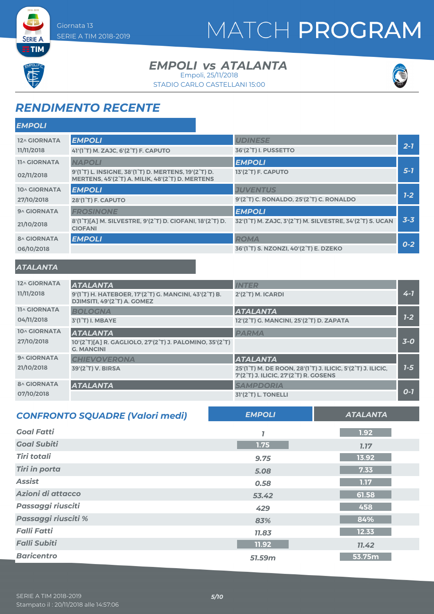# MATCH PROGRAM



**SERIE A ETIM** 

#### **EMPOLI** *vs* ATALANTA Empoli, 25/11/2018

STADIO CARLO CASTELLANI 15:00



### *RENDIMENTO RECENTE*

| <b>EMPOLI</b>       |                                                                                                                                                                          |                                                                   |         |
|---------------------|--------------------------------------------------------------------------------------------------------------------------------------------------------------------------|-------------------------------------------------------------------|---------|
| <b>12^ GIORNATA</b> | <b>EMPOLI</b>                                                                                                                                                            | <b>UDINESE</b>                                                    |         |
| 11/11/2018          | 41'(1°T) M. ZAJC, 6'(2°T) F. CAPUTO                                                                                                                                      | <b>36'(2°T) I. PUSSETTO</b>                                       | $2 - 7$ |
| <b>11^ GIORNATA</b> | <b>NAPOLI</b>                                                                                                                                                            | <b>EMPOLI</b>                                                     |         |
| 02/11/2018          | 9'(1 <sup>°</sup> T) L. INSIGNE, 38'(1 <sup>°</sup> T) D. MERTENS, 19'(2 <sup>°</sup> T) D.<br>MERTENS, 45'(2 <sup>°</sup> T) A. MILIK, 48'(2 <sup>°</sup> T) D. MERTENS | 13'(2 <sup>°</sup> T) F. CAPUTO                                   | $5 - 7$ |
| 10^ GIORNATA        | <b>EMPOLI</b>                                                                                                                                                            | <b>JUVENTUS</b>                                                   |         |
| 27/10/2018          | <b>28'(1°T) F. CAPUTO</b>                                                                                                                                                | 9'(2 <sup>°</sup> T) C. RONALDO, 25'(2 <sup>°</sup> T) C. RONALDO | $1 - 2$ |
| 9^ GIORNATA         | <b>FROSINONE</b>                                                                                                                                                         | <b>EMPOLI</b>                                                     |         |
| 21/10/2018          | 8'(1°T)[A] M. SILVESTRE, 9'(2°T) D. CIOFANI, 18'(2°T) D.<br><b>CIOFANI</b>                                                                                               | 32'(1°T) M. ZAJC, 3'(2°T) M. SILVESTRE, 34'(2°T) S. UCAN          | $3 - 3$ |
| <b>8^ GIORNATA</b>  | <b>EMPOLI</b>                                                                                                                                                            | <b>ROMA</b>                                                       |         |
| 06/10/2018          |                                                                                                                                                                          | 36'(1°T) S. NZONZI, 40'(2°T) E. DZEKO                             | $0 - 2$ |

#### *ATALANTA*

| 12^ GIORNATA        | <b>ATALANTA</b>                                                                                                             | <b>INTER</b>                                                                                                                                                          |         |
|---------------------|-----------------------------------------------------------------------------------------------------------------------------|-----------------------------------------------------------------------------------------------------------------------------------------------------------------------|---------|
| 11/11/2018          | 9'(1 <sup>°</sup> T) H. HATEBOER, 17'(2 <sup>°</sup> T) G. MANCINI, 43'(2 <sup>°</sup> T) B.<br>DJIMSITI, 49'(2°T) A. GOMEZ | $2'(2'T)$ M. ICARDI                                                                                                                                                   | $4 - 7$ |
| <b>11^ GIORNATA</b> | <b>BOLOGNA</b>                                                                                                              | <b>ATALANTA</b>                                                                                                                                                       |         |
| 04/11/2018          | 3'(1°T) I. MBAYE                                                                                                            | 12'(2°T) G. MANCINI, 25'(2°T) D. ZAPATA                                                                                                                               | $1 - 2$ |
| 10^ GIORNATA        | <b>ATALANTA</b>                                                                                                             | <b>PARMA</b>                                                                                                                                                          |         |
| 27/10/2018          | 10'(2°T)[A] R. GAGLIOLO, 27'(2°T) J. PALOMINO, 35'(2°T)<br><b>G. MANCINI</b>                                                |                                                                                                                                                                       | $3-0$   |
| 9^ GIORNATA         | <b>CHIEVOVERONA</b>                                                                                                         | <b>ATALANTA</b>                                                                                                                                                       |         |
| 21/10/2018          | 39'(2°T) V. BIRSA                                                                                                           | 25'(1 <sup>°</sup> T) M. DE ROON, 28'(1 <sup>°</sup> T) J. ILICIC, 5'(2 <sup>°</sup> T) J. ILICIC,<br>7'(2 <sup>°</sup> T) J. ILICIC, 27'(2 <sup>°</sup> T) R. GOSENS | $7-5$   |
| <b>8^ GIORNATA</b>  | <b>ATALANTA</b>                                                                                                             | <b>SAMPDORIA</b>                                                                                                                                                      |         |
| 07/10/2018          |                                                                                                                             | 31'(2 <sup>°</sup> T) L. TONELLI                                                                                                                                      | $O-I$   |

| <b>CONFRONTO SQUADRE (Valori medi)</b> | <b>EMPOLI</b> | <b>ATALANTA</b> |
|----------------------------------------|---------------|-----------------|
| <b>Goal Fatti</b>                      |               | 1.92            |
| <b>Goal Subiti</b>                     | 1.75          | <b>1.17</b>     |
| <b>Tiri totali</b>                     | 9.75          | 13.92           |
| <b>Tiri in porta</b>                   | 5.08          | 7.33            |
| <b>Assist</b>                          | 0.58          | 1.17            |
| Azioni di attacco                      | 53.42         | 61.58           |
| Passaggi riusciti                      | 429           | 458             |
| Passaggi riusciti %                    | 83%           | 84%             |
| <b>Falli Fatti</b>                     | 11.83         | 12.33           |
| <b>Falli Subiti</b>                    | 11.92         | 11.42           |
| <b>Baricentro</b>                      | 51.59m        | 53.75m          |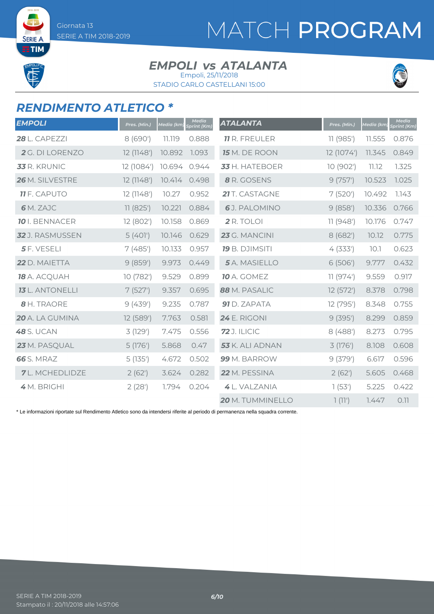SERIE A **ETIM** 

# MATCH PROGRAM

#### **EMPOLI** *vs* ATALANTA Empoli, 25/11/2018

STADIO CARLO CASTELLANI 15:00



### *RENDIMENTO ATLETICO \**

| <b>EMPOLI</b>          | Pres. (Min.) | Media (km, | <b>Media</b><br>Sprint (Km) | <b>ATALANTA</b>       | Pres. (Min.) | Media (km) | <b>Media</b><br>Sprint (Km) |
|------------------------|--------------|------------|-----------------------------|-----------------------|--------------|------------|-----------------------------|
| <b>28 L. CAPEZZI</b>   | 8 (690')     | 11.119     | 0.888                       | <b>11</b> R. FREULER  | 11(985)      | 11.555     | 0.876                       |
| 2 G. DI LORENZO        | 12 (1148')   | 10.892     | 1.093                       | 15 M. DE ROON         | 12 (1074')   | 11.345     | 0.849                       |
| <b>33</b> R. KRUNIC    | 12 (1084')   | 10.694     | 0.944                       | 33 H. HATEBOER        | 10 (902')    | 11.12      | 1.325                       |
| 26 M. SILVESTRE        | 12 (1148')   | 10.414     | 0.498                       | 8 R. GOSENS           | 9(757)       | 10.523     | 1.025                       |
| <b>11</b> F. CAPUTO    | 12 (1148')   | 10.27      | 0.952                       | 21 T. CASTAGNE        | 7(520)       | 10.492     | 1.143                       |
| 6 M. ZAJC              | 11(825)      | 10.221     | 0.884                       | 6J. PALOMINO          | 9(858)       | 10.336     | 0.766                       |
| <b>10</b> I. BENNACER  | 12 (802')    | 10.158     | 0.869                       | 2 R. TOLOI            | 11(948)      | 10.176     | 0.747                       |
| 32 J. RASMUSSEN        | 5(401)       | 10.146     | 0.629                       | 23 G. MANCINI         | 8(682)       | 10.12      | 0.775                       |
| 5 F. VESELI            | 7(485)       | 10.133     | 0.957                       | <b>19</b> B. DJIMSITI | 4(333)       | 10.1       | 0.623                       |
| 22 D. MAIETTA          | 9(859)       | 9.973      | 0.449                       | 5 A. MASIELLO         | 6(506)       | 9.777      | 0.432                       |
| 18 A. ACQUAH           | 10 (782')    | 9.529      | 0.899                       | <b>10</b> A. GOMEZ    | 11(974)      | 9.559      | 0.917                       |
| <b>13</b> L. ANTONELLI | 7(527)       | 9.357      | 0.695                       | 88 M. PASALIC         | 12(572)      | 8.378      | 0.798                       |
| 8 H. TRAORE            | 9(439)       | 9.235      | 0.787                       | 91 D. ZAPATA          | 12 (795')    | 8.348      | 0.755                       |
| 20 A. LA GUMINA        | 12 (589')    | 7.763      | 0.581                       | <b>24</b> E. RIGONI   | 9(395)       | 8.299      | 0.859                       |
| <b>48</b> S. UCAN      | 3(129)       | 7.475      | 0.556                       | <b>72</b> J. ILICIC   | 8(488)       | 8.273      | 0.795                       |
| 23 M. PASQUAL          | 5(176)       | 5.868      | 0.47                        | 53 K. ALI ADNAN       | 3 (176')     | 8.108      | 0.608                       |
| <b>66</b> S. MRAZ      | 5(135)       | 4.672      | 0.502                       | 99 M. BARROW          | 9(379)       | 6.617      | 0.596                       |
| <b>7</b> L. MCHEDLIDZE | 2(62)        | 3.624      | 0.282                       | 22 M. PESSINA         | 2(62)        | 5.605      | 0.468                       |
| 4 M. BRIGHI            | 2(28)        | 1.794      | 0.204                       | 4 L. VALZANIA         | 1(53)        | 5.225      | 0.422                       |
|                        |              |            |                             | 20 M. TUMMINELLO      | 7(11')       | 1.447      | 0.11                        |

\* Le informazioni riportate sul Rendimento Atletico sono da intendersi riferite al periodo di permanenza nella squadra corrente.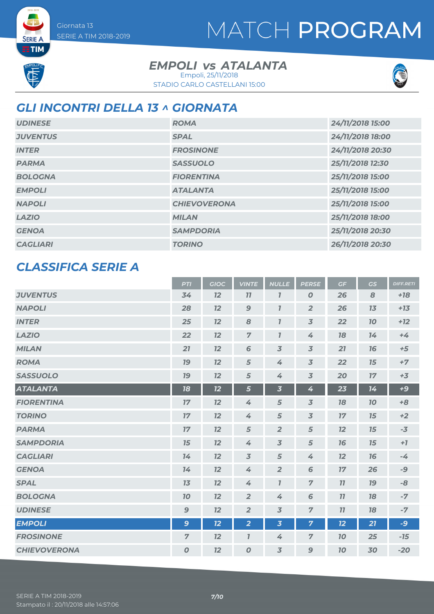# MATCH PROGRAM

**SERIE A ETIM** 

#### **EMPOLI** *vs* ATALANTA Empoli, 25/11/2018

STADIO CARLO CASTELLANI 15:00



### *GLI INCONTRI DELLA 13 ^ GIORNATA*

| <b>UDINESE</b>  | <b>ROMA</b>         | 24/11/2018 15:00 |
|-----------------|---------------------|------------------|
| <b>JUVENTUS</b> | <b>SPAL</b>         | 24/11/2018 18:00 |
| <b>INTER</b>    | <b>FROSINONE</b>    | 24/11/2018 20:30 |
| <b>PARMA</b>    | <b>SASSUOLO</b>     | 25/11/2018 12:30 |
| <b>BOLOGNA</b>  | <b>FIORENTINA</b>   | 25/11/2018 15:00 |
| <b>EMPOLI</b>   | <b>ATALANTA</b>     | 25/11/2018 15:00 |
| <b>NAPOLI</b>   | <b>CHIEVOVERONA</b> | 25/11/2018 15:00 |
| <b>LAZIO</b>    | <b>MILAN</b>        | 25/11/2018 18:00 |
| <b>GENOA</b>    | <b>SAMPDORIA</b>    | 25/11/2018 20:30 |
| <b>CAGLIARI</b> | <b>TORINO</b>       | 26/11/2018 20:30 |

### *CLASSIFICA SERIE A*

|                     | <b>PTI</b>       | <b>GIOC</b> | <b>VINTE</b>     | <b>NULLE</b>                | <b>PERSE</b>     | GF        | GS        | <b>DIFF.RETI</b> |
|---------------------|------------------|-------------|------------------|-----------------------------|------------------|-----------|-----------|------------------|
| <b>JUVENTUS</b>     | 34               | 12          | 11               | $\overline{I}$              | $\boldsymbol{O}$ | 26        | 8         | $+18$            |
| <b>NAPOLI</b>       | 28               | 12          | $\mathbf{9}$     | $\boldsymbol{\overline{I}}$ | $\overline{2}$   | 26        | 13        | $+13$            |
| <b>INTER</b>        | 25               | 12          | 8                | $\overline{I}$              | $\overline{3}$   | 22        | 70        | $+12$            |
| <b>LAZIO</b>        | 22               | 12          | $\overline{z}$   | $\overline{I}$              | 4                | 78        | 14        | $+4$             |
| <b>MILAN</b>        | 21               | 12          | $6\phantom{1}6$  | $\overline{3}$              | $\overline{3}$   | 21        | 76        | $+5$             |
| <b>ROMA</b>         | 79               | 12          | 5                | 4                           | $\overline{3}$   | 22        | 15        | $+7$             |
| <b>SASSUOLO</b>     | 79               | 12          | 5                | 4                           | $\overline{3}$   | 20        | 17        | $+3$             |
| <b>ATALANTA</b>     | 18               | 12          | 5                | $\overline{\mathbf{3}}$     | 4                | 23        | 14        | $+9$             |
| <b>FIORENTINA</b>   | 17               | 12          | 4                | 5                           | $\overline{3}$   | 78        | 70        | $+8$             |
| <b>TORINO</b>       | 17               | 12          | 4                | 5                           | $\overline{3}$   | 17        | 15        | $+2$             |
| <b>PARMA</b>        | 17               | 12          | $\sqrt{5}$       | $\overline{2}$              | $\sqrt{5}$       | 12        | 15        | $-3$             |
| <b>SAMPDORIA</b>    | 15               | 12          | 4                | $\overline{3}$              | 5                | 76        | 15        | $+7$             |
| <b>CAGLIARI</b>     | 14               | 12          | $\overline{3}$   | 5                           | 4                | 12        | 76        | $-4$             |
| <b>GENOA</b>        | 14               | 12          | 4                | $\overline{2}$              | $6\phantom{1}6$  | 17        | 26        | $-9$             |
| <b>SPAL</b>         | 13               | 12          | 4                | $\overline{I}$              | $\overline{7}$   | 77        | <b>19</b> | -8               |
| <b>BOLOGNA</b>      | 10               | 12          | $\overline{2}$   | 4                           | 6                | 11        | 18        | $-7$             |
| <b>UDINESE</b>      | $\mathbf{9}$     | 12          | $\overline{2}$   | $\overline{3}$              | $\overline{7}$   | 11        | 18        | $-7$             |
| <b>EMPOLI</b>       | 9                | 12          | $\overline{2}$   | $\overline{\mathbf{3}}$     | $\overline{7}$   | 12        | 21        | $-9$             |
| <b>FROSINONE</b>    | $\overline{7}$   | 12          | $\overline{I}$   | 4                           | $\overline{7}$   | <b>10</b> | 25        | $-15$            |
| <b>CHIEVOVERONA</b> | $\boldsymbol{O}$ | 12          | $\boldsymbol{0}$ | $\overline{3}$              | $\mathbf{9}$     | 10        | 30        | $-20$            |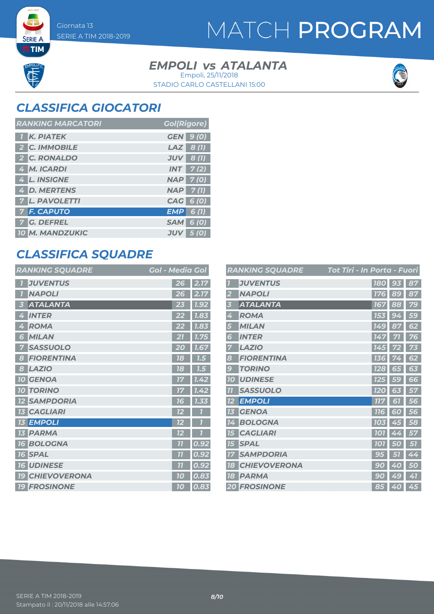**SERIE A**  $ETIM$ 

## MATCH PROGRAM

#### **EMPOLI** *vs* ATALANTA STADIO CARLO CASTELLANI 15:00 Empoli, 25/11/2018



### *CLASSIFICA GIOCATORI*

| <b>RANKING MARCATORI</b> | <b>Gol(Rigore)</b> |
|--------------------------|--------------------|
| <b>K. PIATEK</b>         | <b>GEN</b> 9 (0)   |
| 2 C. IMMOBILE            | $LAZ$ 8(1)         |
| 2 C. RONALDO             | $JUV$ 8 (1)        |
| 4 M. ICARDI              | $INT$ 7(2)         |
| 4 L. INSIGNE             | $NAP$ $7(0)$       |
| 4 D. MERTENS             | $NAP$ 7(1)         |
| <b>7 L. PAVOLETTI</b>    | CAG 6 (0)          |
| <b>7 F. CAPUTO</b>       | EMP<br>6(1)        |
| <b>7 G. DEFREL</b>       | <b>SAM 6 (0)</b>   |
| 10 M. MANDZUKIC          | <b>JUV</b><br>5(0) |

### *CLASSIFICA SQUADRE*

| <b>RANKING SQUADRE</b> | <b>Gol - Media Gol</b> |
|------------------------|------------------------|
| <b>JUVENTUS</b>        | 2.17<br>26             |
| <b>NAPOLI</b>          | 2.17<br>26             |
| <b>ATALANTA</b>        | 1.92                   |
| 5                      | 23                     |
| <b>INTER</b>           | 1.83                   |
| 4                      | 22                     |
| <b>ROMA</b>            | 1.83                   |
| 4                      | 22                     |
| <b>MILAN</b>           | 7.75                   |
| 6                      | 21                     |
| <b>SASSUOLO</b>        | 20                     |
| 7                      | 1.67                   |
| <b>FIORENTINA</b>      | 18                     |
| 8                      | 7.5                    |
| <b>LAZIO</b>           | 18                     |
| 8                      | 7.5                    |
| <b>10 GENOA</b>        | 1.42<br>17             |
| <b>TORINO</b>          | 1.42                   |
| 10 <sup>1</sup>        | 17                     |
| <b>SAMPDORIA</b>       | 1.33<br>76             |
| <b>CAGLIARI</b><br>73  | 12                     |
| <b>13 EMPOLI</b>       | 12                     |
| <b>13 PARMA</b>        | 12                     |
| <b>BOLOGNA</b>         | 0.92                   |
| 16 <sup>1</sup>        | 77                     |
| <b>16 SPAL</b>         | 0.92<br>77             |
| <b>UDINESE</b>         | 0.92                   |
| 16                     | 7 <sub>1</sub>         |
| <b>CHIEVOVERONA</b>    | 0.83                   |
| <b>19</b>              | 10                     |
| <b>19 FROSINONE</b>    | 0.83<br>10             |

|                         | <b>RANKING SQUADRE</b> | Tot Tiri - In Porta - Fuori |                               |    |
|-------------------------|------------------------|-----------------------------|-------------------------------|----|
|                         | <b>JUVENTUS</b>        | <b>180</b>                  | 93                            | 87 |
| 2                       | <b>NAPOLI</b>          | 176                         | 89                            | 87 |
| 3                       | <b>ATALANTA</b>        | 167                         | 88                            | 79 |
| 4                       | <b>ROMA</b>            | 153                         | 9                             | 59 |
| 5                       | <b>MILAN</b>           | <b>149</b>                  | 87                            | 62 |
| 6                       | <b>INTER</b>           | 147                         | 71                            | 76 |
| 7                       | <b>LAZIO</b>           | 145                         |                               | 73 |
| 8                       | <b>FIORENTINA</b>      | 136                         | 4                             | 62 |
| 9                       | <b>TORINO</b>          | <b>128</b>                  | 65                            | 63 |
| <b>10</b>               | <b>UDINESE</b>         | <b>125</b>                  | 59                            | 66 |
| $\overline{\mathbf{u}}$ | <b>SASSUOLO</b>        | <b>120</b>                  | 63                            | 57 |
| 12                      | <b>EMPOLI</b>          | 777                         | 61                            | 56 |
| 13                      | <b>GENOA</b>           | <b>116</b>                  | 60                            | 56 |
| 14                      | <b>BOLOGNA</b>         | 103                         | 45                            | 58 |
| 75                      | <b>CAGLIARI</b>        | <b>101</b>                  | 4<br>4                        | 57 |
| 15                      | <b>SPAL</b>            | <b>101</b>                  | $\theta$                      | 57 |
| 77                      | <b>SAMPDORIA</b>       |                             |                               | 44 |
| 78                      | <b>CHIEVOVERONA</b>    | 9<br>$\overline{0}$         | $\overline{\mathcal{A}}$<br>O | 50 |
| <b>18</b>               | <b>PARMA</b>           | 9<br>O                      | 49                            | 41 |
|                         | <b>20 FROSINONE</b>    | 85                          | 40                            | 45 |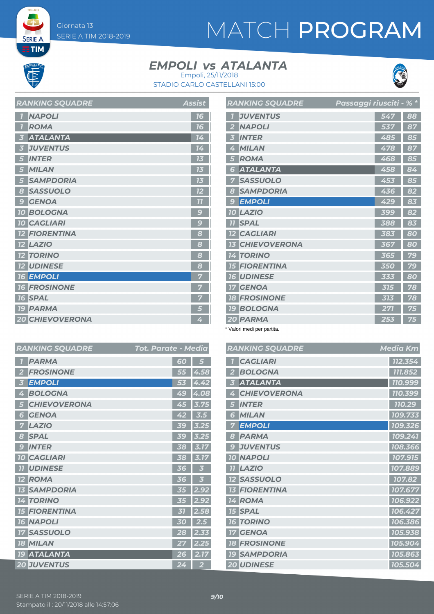# MATCH PROGRAM

**SERIE A ETIM** 

### **EMPOLI** *vs* ATALANTA



STADIO CARLO CASTELLANI 15:00 Empoli, 25/11/2018

| <b>RANKING SQUADRE</b>          | <b>Assist</b>            |
|---------------------------------|--------------------------|
| <b>NAPOLI</b>                   | 16                       |
| <b>ROMA</b>                     | 16                       |
| <b>ATALANTA</b><br>5            | 14                       |
| <b>JUVENTUS</b>                 | 14                       |
| <b>INTER</b><br>5               | 13                       |
| <b>MILAN</b>                    | 73                       |
| <b>SAMPDORIA</b>                | 13                       |
| <b>SASSUOLO</b><br>8            | 12                       |
| <b>GENOA</b><br>9               | 77                       |
| <b>10 BOLOGNA</b>               | $\overline{\mathcal{L}}$ |
| <b>10 CAGLIARI</b>              | $\overline{\mathcal{C}}$ |
| <b>12 FIORENTINA</b>            | 8                        |
| <b>LAZIO</b><br>12 <sup>2</sup> | 8                        |
| <b>12 TORINO</b>                | 8                        |
| <b>12 UDINESE</b>               | 8                        |
| <b>16 EMPOLI</b>                |                          |
| <b>16 FROSINONE</b>             |                          |
| <b>16 SPAL</b>                  | 7                        |
| <b>19 PARMA</b>                 | 5                        |
| <b>20 CHIEVOVERONA</b>          | 4                        |

|                | <b>RANKING SQUADRE</b> | Passaggi riusciti - % * |    |
|----------------|------------------------|-------------------------|----|
| 7              | <b>JUVENTUS</b>        | 547                     | 88 |
| $\overline{2}$ | <b>NAPOLI</b>          | 537                     | 87 |
| 3              | <b>INTER</b>           | 485                     | 85 |
| 4              | <b>MILAN</b>           | 478                     | 87 |
| 5              | <b>ROMA</b>            | 468                     | 85 |
| 6              | <b>ATALANTA</b>        | 458                     | 84 |
| 7              | <b>SASSUOLO</b>        | 453                     | 85 |
| 8              | <b>SAMPDORIA</b>       | 436                     | 82 |
| 9              | <b>EMPOLI</b>          | 429                     | 83 |
|                | 10 LAZIO               | 399                     | 82 |
|                | <b>11 SPAL</b>         | 388                     | 83 |
|                | <b>12 CAGLIARI</b>     | 383                     | 80 |
|                | <b>13 CHIEVOVERONA</b> | 367                     | 80 |
|                | <b>14 TORINO</b>       | 365                     | 79 |
|                | <b>15 FIORENTINA</b>   | 350                     | 79 |
|                | <b>16 UDINESE</b>      | 333                     | 80 |
|                | <b>17 GENOA</b>        | 315                     | 78 |
|                | <b>18 FROSINONE</b>    | 313                     | 78 |
|                | <b>19 BOLOGNA</b>      | 271                     | 75 |
|                | 20 PARMA               | 253                     | 75 |

\* Valori medi per partita.

|                         | <b>RANKING SQUADRE</b> | <b>Media Km</b> |
|-------------------------|------------------------|-----------------|
|                         | <b>CAGLIARI</b>        | 112.354         |
| 8                       | <b>BOLOGNA</b>         | 111.852         |
| $\overline{\mathbf{c}}$ | <b>ATALANTA</b>        | 110.999         |
| 8                       | <b>CHIEVOVERONA</b>    | 110.399         |
| 5                       | <b>INTER</b>           | 110.29          |
|                         | <b>MILAN</b><br>ัส     | 109.733         |
| 5                       | <b>EMPOLI</b>          | 109.326         |
| 5                       | <b>PARMA</b>           | 109.241         |
| 7                       | <b>JUVENTUS</b><br>g   | 108.366         |
| 7                       | <b>10 NAPOLI</b>       | 107.915         |
|                         | <b>LAZIO</b><br>11     | 107.889         |
|                         | <b>SASSUOLO</b>        | 107.82          |
|                         | <b>FIORENTINA</b>      | 107.677         |
| $\overline{c}$          | ROMA<br>14             | 106.922         |
| 6                       | <b>15 SPAL</b>         | 106.427         |
| ī                       | <b>TORINO</b><br>16    | 106.386         |
| 3                       | <b>GENOA</b>           | 105.938         |
| 5                       | <b>18 FROSINONE</b>    | 105.904         |
| 7                       | <b>19 SAMPDORIA</b>    | 105.863         |
|                         | <b>20 UDINESE</b>      | 105.504         |

| <b>RANKING SQUADRE</b>             | Tot. Parate - Media |                |
|------------------------------------|---------------------|----------------|
| <b>PARMA</b>                       | 60                  |                |
| <b>FROSINONE</b>                   | 55                  | 4.58           |
| <b>EMPOLI</b><br>3                 | 53                  | 4.42           |
| <b>BOLOGNA</b><br>4                | 49                  | 4.08           |
| <b>CHIEVOVERONA</b><br>5           | 45                  | 3.75           |
| <b>GENOA</b><br>6                  | 42                  | 3.5            |
| <b>LAZIO</b><br>7                  | <b>39</b>           | 3.25           |
| <b>SPAL</b><br>8                   | <b>39</b>           | 3.25           |
| <b>INTER</b><br>$\mathbf{C}$       | 38                  | 3.17           |
| <b>CAGLIARI</b><br>10 <sup>°</sup> | 38                  | 3.17           |
| <b>UDINESE</b><br>77               | 36                  | 3              |
| <b>ROMA</b><br>72                  | 36                  | 3              |
| <b>SAMPDORIA</b>                   | 35                  | 2.92           |
| <b>TORINO</b><br>4<br>11           | 35                  | 2.92           |
| <b>FIORENTINA</b><br>75            | 31                  | 2.58           |
| <b>16 NAPOLI</b>                   | 30                  | 2.5            |
| <b>SASSUOLO</b>                    | 28                  | 2.33           |
| <b>MILAN</b><br>18                 | 27                  | 2.25           |
| <b>19 ATALANTA</b>                 | 26                  | 2.17           |
| <b>20 JUVENTUS</b>                 | 24                  | $\overline{2}$ |